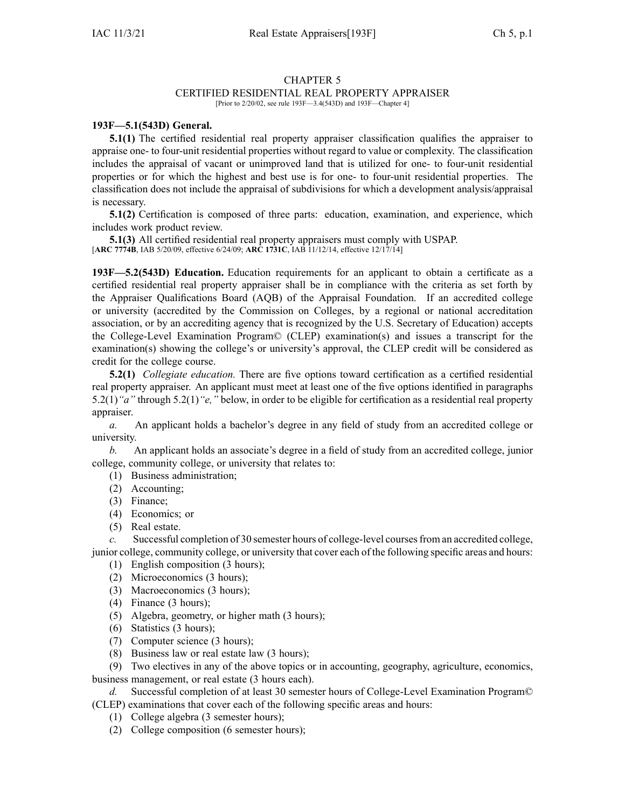## CHAPTER 5

## CERTIFIED RESIDENTIAL REAL PROPERTY APPRAISER

[Prior to 2/20/02, see rule 193F—3.4(543D) and 193F—Chapter 4]

## **193F—5.1(543D) General.**

**5.1(1)** The certified residential real property appraiser classification qualifies the appraiser to appraise one- to four-unit residential properties without regard to value or complexity. The classification includes the appraisal of vacant or unimproved land that is utilized for one- to four-unit residential properties or for which the highest and best use is for one- to four-unit residential properties. The classification does not include the appraisal of subdivisions for which <sup>a</sup> development analysis/appraisal is necessary.

**5.1(2)** Certification is composed of three parts: education, examination, and experience, which includes work product review.

**5.1(3)** All certified residential real property appraisers must comply with USPAP. [**ARC [7774B](https://www.legis.iowa.gov/docs/aco/arc/7774B.pdf)**, IAB 5/20/09, effective 6/24/09; **ARC [1731C](https://www.legis.iowa.gov/docs/aco/arc/1731C.pdf)**, IAB 11/12/14, effective 12/17/14]

**193F—5.2(543D) Education.** Education requirements for an applicant to obtain <sup>a</sup> certificate as <sup>a</sup> certified residential real property appraiser shall be in compliance with the criteria as set forth by the Appraiser Qualifications Board (AQB) of the Appraisal Foundation. If an accredited college or university (accredited by the Commission on Colleges, by <sup>a</sup> regional or national accreditation association, or by an accrediting agency that is recognized by the U.S. Secretary of Education) accepts the College-Level Examination Program© (CLEP) examination(s) and issues <sup>a</sup> transcript for the examination(s) showing the college's or university's approval, the CLEP credit will be considered as credit for the college course.

**5.2(1)** *Collegiate education.* There are five options toward certification as <sup>a</sup> certified residential real property appraiser. An applicant must meet at least one of the five options identified in paragraphs 5.2(1)*"a"* through 5.2(1)*"e,"* below, in order to be eligible for certification as <sup>a</sup> residential real property appraiser.

*a.* An applicant holds <sup>a</sup> bachelor's degree in any field of study from an accredited college or university.

*b.* An applicant holds an associate's degree in <sup>a</sup> field of study from an accredited college, junior college, community college, or university that relates to:

- (1) Business administration;
- (2) Accounting;
- (3) Finance;
- (4) Economics; or
- (5) Real estate.

*c.* Successful completion of 30 semester hours of college-level coursesfrom an accredited college, junior college, community college, or university that cover each of the following specific areas and hours:

- (1) English composition (3 hours);
- (2) Microeconomics (3 hours);
- (3) Macroeconomics (3 hours);
- (4) Finance (3 hours);
- (5) Algebra, geometry, or higher math (3 hours);
- (6) Statistics (3 hours);
- (7) Computer science (3 hours);
- (8) Business law or real estate law (3 hours);

(9) Two electives in any of the above topics or in accounting, geography, agriculture, economics, business management, or real estate (3 hours each).

*d.* Successful completion of at least 30 semester hours of College-Level Examination Program© (CLEP) examinations that cover each of the following specific areas and hours:

- (1) College algebra (3 semester hours);
- (2) College composition (6 semester hours);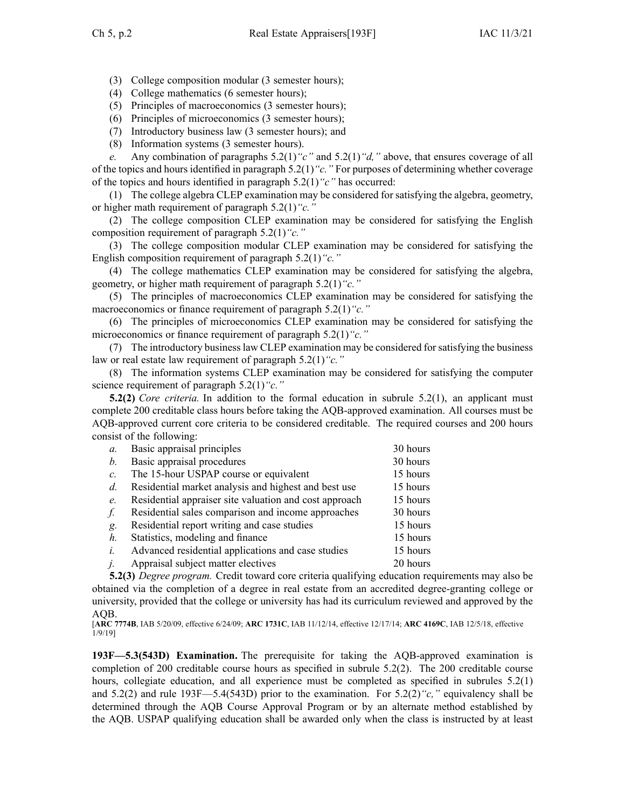- (3) College composition modular (3 semester hours);
- (4) College mathematics (6 semester hours);
- (5) Principles of macroeconomics (3 semester hours);
- (6) Principles of microeconomics (3 semester hours);
- (7) Introductory business law (3 semester hours); and
- (8) Information systems (3 semester hours).

*e.* Any combination of paragraphs 5.2(1)*"c"* and 5.2(1)*"d,"* above, that ensures coverage of all of the topics and hours identified in paragraph 5.2(1)*"c."* For purposes of determining whether coverage of the topics and hours identified in paragraph 5.2(1)*"c"* has occurred:

(1) The college algebra CLEP examination may be considered for satisfying the algebra, geometry, or higher math requirement of paragraph 5.2(1)*"c."*

(2) The college composition CLEP examination may be considered for satisfying the English composition requirement of paragraph 5.2(1)*"c."*

(3) The college composition modular CLEP examination may be considered for satisfying the English composition requirement of paragraph 5.2(1)*"c."*

(4) The college mathematics CLEP examination may be considered for satisfying the algebra, geometry, or higher math requirement of paragraph 5.2(1)*"c."*

(5) The principles of macroeconomics CLEP examination may be considered for satisfying the macroeconomics or finance requirement of paragraph 5.2(1)*"c."*

(6) The principles of microeconomics CLEP examination may be considered for satisfying the microeconomics or finance requirement of paragraph 5.2(1)*"c."*

(7) The introductory businesslaw CLEP examination may be considered forsatisfying the business law or real estate law requirement of paragraph 5.2(1)*"c."*

(8) The information systems CLEP examination may be considered for satisfying the computer science requirement of paragraph 5.2(1)*"c."*

**5.2(2)** *Core criteria.* In addition to the formal education in subrule 5.2(1), an applicant must complete 200 creditable class hours before taking the AQB-approved examination. All courses must be AQB-approved current core criteria to be considered creditable. The required courses and 200 hours consist of the following:

| $\mathfrak{a}$ . | Basic appraisal principles                             | 30 hours |
|------------------|--------------------------------------------------------|----------|
| $b$ .            | Basic appraisal procedures                             | 30 hours |
| $c$ .            | The 15-hour USPAP course or equivalent                 | 15 hours |
| $d_{\cdot}$      | Residential market analysis and highest and best use   | 15 hours |
| $e$ .            | Residential appraiser site valuation and cost approach | 15 hours |
| f.               | Residential sales comparison and income approaches     | 30 hours |
| g.               | Residential report writing and case studies            | 15 hours |
| $h_{\cdot}$      | Statistics, modeling and finance                       | 15 hours |
| $i_{-}$          | Advanced residential applications and case studies     | 15 hours |
| j.               | Appraisal subject matter electives                     | 20 hours |

**5.2(3)** *Degree program.* Credit toward core criteria qualifying education requirements may also be obtained via the completion of <sup>a</sup> degree in real estate from an accredited degree-granting college or university, provided that the college or university has had its curriculum reviewed and approved by the AQB.

[**ARC [7774B](https://www.legis.iowa.gov/docs/aco/arc/7774B.pdf)**, IAB 5/20/09, effective 6/24/09; **ARC [1731C](https://www.legis.iowa.gov/docs/aco/arc/1731C.pdf)**, IAB 11/12/14, effective 12/17/14; **ARC [4169C](https://www.legis.iowa.gov/docs/aco/arc/4169C.pdf)**, IAB 12/5/18, effective 1/9/19]

**193F—5.3(543D) Examination.** The prerequisite for taking the AQB-approved examination is completion of 200 creditable course hours as specified in subrule [5.2\(2\)](https://www.legis.iowa.gov/docs/iac/rule/193F.5.2.pdf). The 200 creditable course hours, collegiate education, and all experience must be completed as specified in subrules [5.2\(1\)](https://www.legis.iowa.gov/docs/iac/rule/193F.5.2.pdf) and [5.2\(2\)](https://www.legis.iowa.gov/docs/iac/rule/193F.5.2.pdf) and rule [193F—5.4](https://www.legis.iowa.gov/docs/iac/rule/193F.5.4.pdf)(543D) prior to the examination. For [5.2\(2\)](https://www.legis.iowa.gov/docs/iac/rule/193F.5.2.pdf)*"c,"* equivalency shall be determined through the AQB Course Approval Program or by an alternate method established by the AQB. USPAP qualifying education shall be awarded only when the class is instructed by at least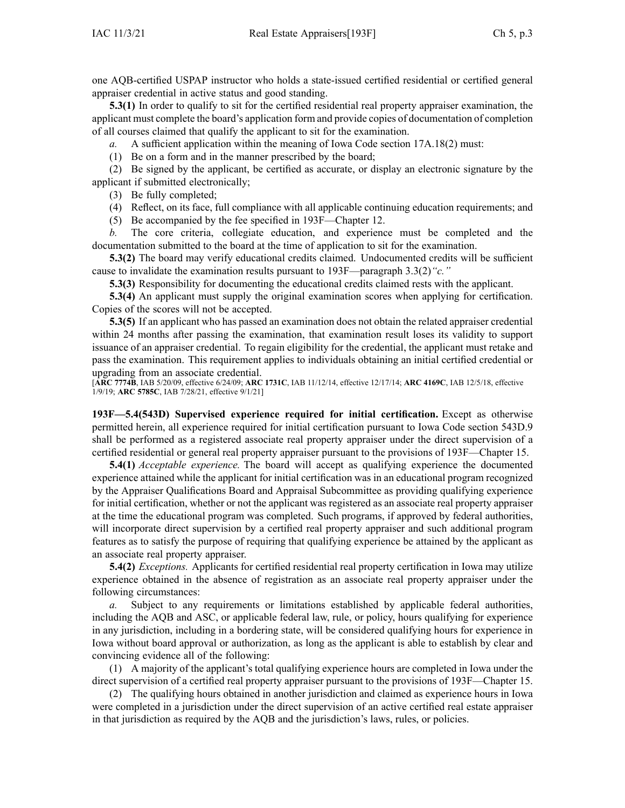one AQB-certified USPAP instructor who holds <sup>a</sup> state-issued certified residential or certified general appraiser credential in active status and good standing.

**5.3(1)** In order to qualify to sit for the certified residential real property appraiser examination, the applicant must complete the board's application form and provide copies of documentation of completion of all courses claimed that qualify the applicant to sit for the examination.

*a.* A sufficient application within the meaning of Iowa Code section 17A.18(2) must:

(1) Be on <sup>a</sup> form and in the manner prescribed by the board;

(2) Be signed by the applicant, be certified as accurate, or display an electronic signature by the applicant if submitted electronically;

(3) Be fully completed;

(4) Reflect, on its face, full compliance with all applicable continuing education requirements; and

(5) Be accompanied by the fee specified in 193F—Chapter 12.

*b.* The core criteria, collegiate education, and experience must be completed and the documentation submitted to the board at the time of application to sit for the examination.

**5.3(2)** The board may verify educational credits claimed. Undocumented credits will be sufficient cause to invalidate the examination results pursuan<sup>t</sup> to 193F—paragraph [3.3\(2\)](https://www.legis.iowa.gov/docs/iac/rule/193F.3.3.pdf)*"c."*

**5.3(3)** Responsibility for documenting the educational credits claimed rests with the applicant.

**5.3(4)** An applicant must supply the original examination scores when applying for certification. Copies of the scores will not be accepted.

**5.3(5)** If an applicant who has passed an examination does not obtain the related appraiser credential within 24 months after passing the examination, that examination result loses its validity to suppor<sup>t</sup> issuance of an appraiser credential. To regain eligibility for the credential, the applicant must retake and pass the examination. This requirement applies to individuals obtaining an initial certified credential or upgrading from an associate credential.

[**ARC [7774B](https://www.legis.iowa.gov/docs/aco/arc/7774B.pdf)**, IAB 5/20/09, effective 6/24/09; **ARC [1731C](https://www.legis.iowa.gov/docs/aco/arc/1731C.pdf)**, IAB 11/12/14, effective 12/17/14; **ARC [4169C](https://www.legis.iowa.gov/docs/aco/arc/4169C.pdf)**, IAB 12/5/18, effective 1/9/19; **ARC [5785C](https://www.legis.iowa.gov/docs/aco/arc/5785C.pdf)**, IAB 7/28/21, effective 9/1/21]

**193F—5.4(543D) Supervised experience required for initial certification.** Except as otherwise permitted herein, all experience required for initial certification pursuan<sup>t</sup> to Iowa Code section [543D.9](https://www.legis.iowa.gov/docs/ico/section/543D.9.pdf) shall be performed as <sup>a</sup> registered associate real property appraiser under the direct supervision of <sup>a</sup> certified residential or general real property appraiser pursuan<sup>t</sup> to the provisions of [193F—Chapter](https://www.legis.iowa.gov/docs/iac/chapter/193F.15.pdf) 15.

**5.4(1)** *Acceptable experience.* The board will accep<sup>t</sup> as qualifying experience the documented experience attained while the applicant for initial certification was in an educational program recognized by the Appraiser Qualifications Board and Appraisal Subcommittee as providing qualifying experience for initial certification, whether or not the applicant was registered as an associate real property appraiser at the time the educational program was completed. Such programs, if approved by federal authorities, will incorporate direct supervision by <sup>a</sup> certified real property appraiser and such additional program features as to satisfy the purpose of requiring that qualifying experience be attained by the applicant as an associate real property appraiser.

**5.4(2)** *Exceptions.* Applicants for certified residential real property certification in Iowa may utilize experience obtained in the absence of registration as an associate real property appraiser under the following circumstances:

*a.* Subject to any requirements or limitations established by applicable federal authorities, including the AQB and ASC, or applicable federal law, rule, or policy, hours qualifying for experience in any jurisdiction, including in <sup>a</sup> bordering state, will be considered qualifying hours for experience in Iowa without board approval or authorization, as long as the applicant is able to establish by clear and convincing evidence all of the following:

(1) A majority of the applicant's total qualifying experience hours are completed in Iowa under the direct supervision of <sup>a</sup> certified real property appraiser pursuan<sup>t</sup> to the provisions of [193F—Chapter](https://www.legis.iowa.gov/docs/iac/chapter/193F.15.pdf) 15.

(2) The qualifying hours obtained in another jurisdiction and claimed as experience hours in Iowa were completed in <sup>a</sup> jurisdiction under the direct supervision of an active certified real estate appraiser in that jurisdiction as required by the AQB and the jurisdiction's laws, rules, or policies.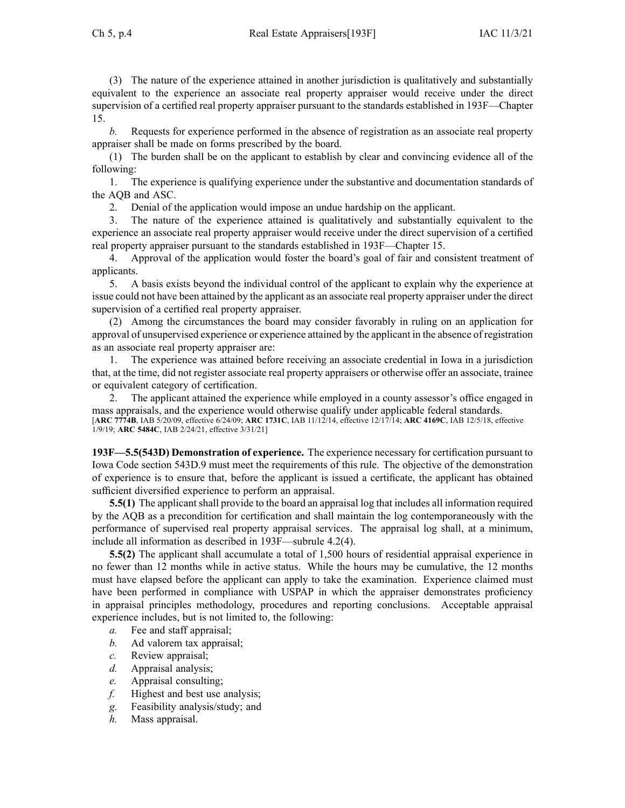(3) The nature of the experience attained in another jurisdiction is qualitatively and substantially equivalent to the experience an associate real property appraiser would receive under the direct supervision of <sup>a</sup> certified real property appraiser pursuan<sup>t</sup> to the standards established in [193F—Chapter](https://www.legis.iowa.gov/docs/iac/chapter/193F.15.pdf) [15](https://www.legis.iowa.gov/docs/iac/chapter/193F.15.pdf).

*b.* Requests for experience performed in the absence of registration as an associate real property appraiser shall be made on forms prescribed by the board.

(1) The burden shall be on the applicant to establish by clear and convincing evidence all of the following:

1. The experience is qualifying experience under the substantive and documentation standards of the AQB and ASC.

2. Denial of the application would impose an undue hardship on the applicant.

3. The nature of the experience attained is qualitatively and substantially equivalent to the experience an associate real property appraiser would receive under the direct supervision of <sup>a</sup> certified real property appraiser pursuan<sup>t</sup> to the standards established in [193F—Chapter](https://www.legis.iowa.gov/docs/iac/chapter/193F.15.pdf) 15.

4. Approval of the application would foster the board's goal of fair and consistent treatment of applicants.

5. A basis exists beyond the individual control of the applicant to explain why the experience at issue could not have been attained by the applicant as an associate real property appraiser under the direct supervision of <sup>a</sup> certified real property appraiser.

(2) Among the circumstances the board may consider favorably in ruling on an application for approval of unsupervised experience or experience attained by the applicant in the absence of registration as an associate real property appraiser are:

1. The experience was attained before receiving an associate credential in Iowa in <sup>a</sup> jurisdiction that, at the time, did not register associate real property appraisers or otherwise offer an associate, trainee or equivalent category of certification.

2. The applicant attained the experience while employed in <sup>a</sup> county assessor's office engaged in mass appraisals, and the experience would otherwise qualify under applicable federal standards. [**ARC [7774B](https://www.legis.iowa.gov/docs/aco/arc/7774B.pdf)**, IAB 5/20/09, effective 6/24/09; **ARC [1731C](https://www.legis.iowa.gov/docs/aco/arc/1731C.pdf)**, IAB 11/12/14, effective 12/17/14; **ARC [4169C](https://www.legis.iowa.gov/docs/aco/arc/4169C.pdf)**, IAB 12/5/18, effective 1/9/19; **ARC [5484C](https://www.legis.iowa.gov/docs/aco/arc/5484C.pdf)**, IAB 2/24/21, effective 3/31/21]

**193F—5.5(543D) Demonstration of experience.** The experience necessary for certification pursuan<sup>t</sup> to Iowa Code section [543D.9](https://www.legis.iowa.gov/docs/ico/section/543D.9.pdf) must meet the requirements of this rule. The objective of the demonstration of experience is to ensure that, before the applicant is issued <sup>a</sup> certificate, the applicant has obtained sufficient diversified experience to perform an appraisal.

**5.5(1)** The applicant shall provide to the board an appraisal log that includes all information required by the AQB as <sup>a</sup> precondition for certification and shall maintain the log contemporaneously with the performance of supervised real property appraisal services. The appraisal log shall, at <sup>a</sup> minimum, include all information as described in [193F—subrule](https://www.legis.iowa.gov/docs/iac/rule/193F.4.2.pdf) 4.2(4).

**5.5(2)** The applicant shall accumulate <sup>a</sup> total of 1,500 hours of residential appraisal experience in no fewer than 12 months while in active status. While the hours may be cumulative, the 12 months must have elapsed before the applicant can apply to take the examination. Experience claimed must have been performed in compliance with USPAP in which the appraiser demonstrates proficiency in appraisal principles methodology, procedures and reporting conclusions. Acceptable appraisal experience includes, but is not limited to, the following:

- *a.* Fee and staff appraisal;
- *b.* Ad valorem tax appraisal;
- *c.* Review appraisal;
- *d.* Appraisal analysis;
- *e.* Appraisal consulting;
- *f.* Highest and best use analysis;
- *g.* Feasibility analysis/study; and
- *h.* Mass appraisal.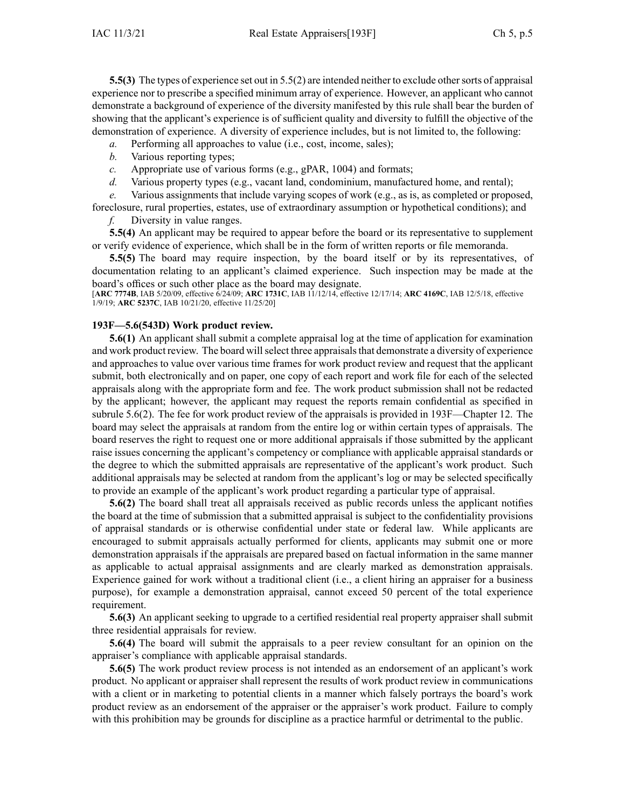**5.5(3)** The types of experience set out in [5.5\(2\)](https://www.legis.iowa.gov/docs/iac/rule/193F.5.5.pdf) are intended neither to exclude other sorts of appraisal experience nor to prescribe <sup>a</sup> specified minimum array of experience. However, an applicant who cannot demonstrate <sup>a</sup> background of experience of the diversity manifested by this rule shall bear the burden of showing that the applicant's experience is of sufficient quality and diversity to fulfill the objective of the demonstration of experience. A diversity of experience includes, but is not limited to, the following:

- *a.* Performing all approaches to value (i.e., cost, income, sales);
- *b.* Various reporting types;
- *c.* Appropriate use of various forms (e.g., gPAR, 1004) and formats;
- *d.* Various property types (e.g., vacant land, condominium, manufactured home, and rental);

*e.* Various assignments that include varying scopes of work (e.g., as is, as completed or proposed, foreclosure, rural properties, estates, use of extraordinary assumption or hypothetical conditions); and

*f.* Diversity in value ranges.

**5.5(4)** An applicant may be required to appear before the board or its representative to supplement or verify evidence of experience, which shall be in the form of written reports or file memoranda.

**5.5(5)** The board may require inspection, by the board itself or by its representatives, of documentation relating to an applicant's claimed experience. Such inspection may be made at the board's offices or such other place as the board may designate.

[**ARC [7774B](https://www.legis.iowa.gov/docs/aco/arc/7774B.pdf)**, IAB 5/20/09, effective 6/24/09; **ARC [1731C](https://www.legis.iowa.gov/docs/aco/arc/1731C.pdf)**, IAB 11/12/14, effective 12/17/14; **ARC [4169C](https://www.legis.iowa.gov/docs/aco/arc/4169C.pdf)**, IAB 12/5/18, effective 1/9/19; **ARC [5237C](https://www.legis.iowa.gov/docs/aco/arc/5237C.pdf)**, IAB 10/21/20, effective 11/25/20]

## **193F—5.6(543D) Work product review.**

**5.6(1)** An applicant shall submit <sup>a</sup> complete appraisal log at the time of application for examination and work product review. The board will select three appraisals that demonstrate a diversity of experience and approaches to value over various time frames for work product review and reques<sup>t</sup> that the applicant submit, both electronically and on paper, one copy of each repor<sup>t</sup> and work file for each of the selected appraisals along with the appropriate form and fee. The work product submission shall not be redacted by the applicant; however, the applicant may reques<sup>t</sup> the reports remain confidential as specified in subrule [5.6\(2\)](https://www.legis.iowa.gov/docs/iac/rule/193F.5.6.pdf). The fee for work product review of the appraisals is provided in [193F—Chapter](https://www.legis.iowa.gov/docs/iac/chapter/193F.12.pdf) 12. The board may select the appraisals at random from the entire log or within certain types of appraisals. The board reserves the right to reques<sup>t</sup> one or more additional appraisals if those submitted by the applicant raise issues concerning the applicant's competency or compliance with applicable appraisal standards or the degree to which the submitted appraisals are representative of the applicant's work product. Such additional appraisals may be selected at random from the applicant's log or may be selected specifically to provide an example of the applicant's work product regarding <sup>a</sup> particular type of appraisal.

**5.6(2)** The board shall treat all appraisals received as public records unless the applicant notifies the board at the time of submission that <sup>a</sup> submitted appraisal is subject to the confidentiality provisions of appraisal standards or is otherwise confidential under state or federal law. While applicants are encouraged to submit appraisals actually performed for clients, applicants may submit one or more demonstration appraisals if the appraisals are prepared based on factual information in the same manner as applicable to actual appraisal assignments and are clearly marked as demonstration appraisals. Experience gained for work without <sup>a</sup> traditional client (i.e., <sup>a</sup> client hiring an appraiser for <sup>a</sup> business purpose), for example <sup>a</sup> demonstration appraisal, cannot exceed 50 percen<sup>t</sup> of the total experience requirement.

**5.6(3)** An applicant seeking to upgrade to <sup>a</sup> certified residential real property appraiser shall submit three residential appraisals for review.

**5.6(4)** The board will submit the appraisals to <sup>a</sup> peer review consultant for an opinion on the appraiser's compliance with applicable appraisal standards.

**5.6(5)** The work product review process is not intended as an endorsement of an applicant's work product. No applicant or appraiser shall represen<sup>t</sup> the results of work product review in communications with <sup>a</sup> client or in marketing to potential clients in <sup>a</sup> manner which falsely portrays the board's work product review as an endorsement of the appraiser or the appraiser's work product. Failure to comply with this prohibition may be grounds for discipline as <sup>a</sup> practice harmful or detrimental to the public.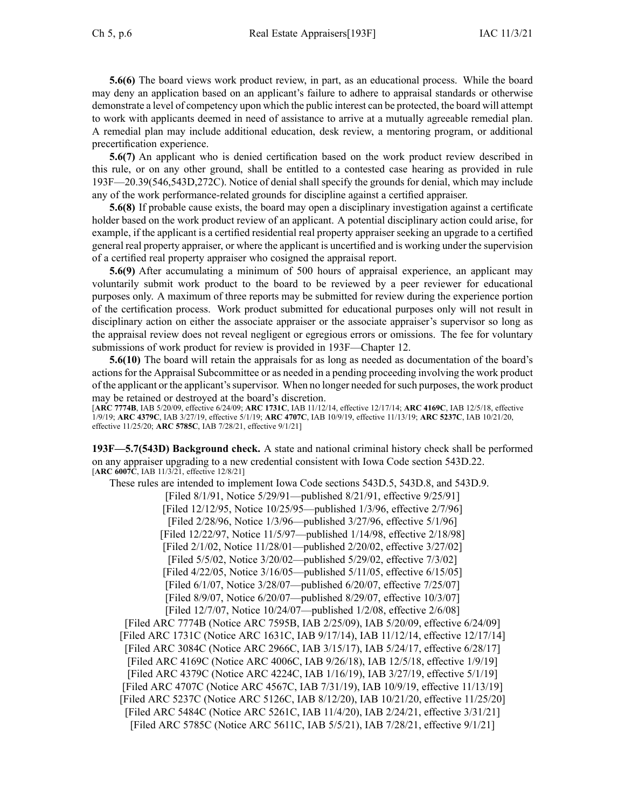**5.6(6)** The board views work product review, in part, as an educational process. While the board may deny an application based on an applicant's failure to adhere to appraisal standards or otherwise demonstrate <sup>a</sup> level of competency upon which the public interest can be protected, the board will attempt to work with applicants deemed in need of assistance to arrive at <sup>a</sup> mutually agreeable remedial plan. A remedial plan may include additional education, desk review, <sup>a</sup> mentoring program, or additional precertification experience.

**5.6(7)** An applicant who is denied certification based on the work product review described in this rule, or on any other ground, shall be entitled to <sup>a</sup> contested case hearing as provided in rule [193F—20.39](https://www.legis.iowa.gov/docs/iac/rule/193F.20.39.pdf)(546,543D,272C). Notice of denial shall specify the grounds for denial, which may include any of the work performance-related grounds for discipline against <sup>a</sup> certified appraiser.

**5.6(8)** If probable cause exists, the board may open <sup>a</sup> disciplinary investigation against <sup>a</sup> certificate holder based on the work product review of an applicant. A potential disciplinary action could arise, for example, if the applicant is <sup>a</sup> certified residential real property appraiser seeking an upgrade to <sup>a</sup> certified general real property appraiser, or where the applicant is uncertified and is working under the supervision of <sup>a</sup> certified real property appraiser who cosigned the appraisal report.

**5.6(9)** After accumulating <sup>a</sup> minimum of 500 hours of appraisal experience, an applicant may voluntarily submit work product to the board to be reviewed by <sup>a</sup> peer reviewer for educational purposes only. A maximum of three reports may be submitted for review during the experience portion of the certification process. Work product submitted for educational purposes only will not result in disciplinary action on either the associate appraiser or the associate appraiser's supervisor so long as the appraisal review does not reveal negligent or egregious errors or omissions. The fee for voluntary submissions of work product for review is provided in [193F—Chapter](https://www.legis.iowa.gov/docs/iac/chapter/193F.12.pdf) 12.

**5.6(10)** The board will retain the appraisals for as long as needed as documentation of the board's actionsfor the Appraisal Subcommittee or as needed in <sup>a</sup> pending proceeding involving the work product of the applicant or the applicant'ssupervisor. When no longer needed forsuch purposes, the work product may be retained or destroyed at the board's discretion.

[**ARC [7774B](https://www.legis.iowa.gov/docs/aco/arc/7774B.pdf)**, IAB 5/20/09, effective 6/24/09; **ARC [1731C](https://www.legis.iowa.gov/docs/aco/arc/1731C.pdf)**, IAB 11/12/14, effective 12/17/14; **ARC [4169C](https://www.legis.iowa.gov/docs/aco/arc/4169C.pdf)**, IAB 12/5/18, effective 1/9/19; **ARC [4379C](https://www.legis.iowa.gov/docs/aco/arc/4379C.pdf)**, IAB 3/27/19, effective 5/1/19; **ARC [4707C](https://www.legis.iowa.gov/docs/aco/arc/4707C.pdf)**, IAB 10/9/19, effective 11/13/19; **ARC [5237C](https://www.legis.iowa.gov/docs/aco/arc/5237C.pdf)**, IAB 10/21/20, effective 11/25/20; **ARC [5785C](https://www.legis.iowa.gov/docs/aco/arc/5785C.pdf)**, IAB 7/28/21, effective 9/1/21]

**193F—5.7(543D) Background check.** A state and national criminal history check shall be performed on any appraiser upgrading to <sup>a</sup> new credential consistent with Iowa Code section [543D.22](https://www.legis.iowa.gov/docs/ico/section/543D.22.pdf). [**ARC [6007C](https://www.legis.iowa.gov/docs/aco/arc/6007C.pdf)**, IAB 11/3/21, effective 12/8/21]

These rules are intended to implement Iowa Code sections [543D.5](https://www.legis.iowa.gov/docs/ico/section/543D.5.pdf), [543D.8](https://www.legis.iowa.gov/docs/ico/section/543D.8.pdf), and [543D.9](https://www.legis.iowa.gov/docs/ico/section/543D.9.pdf). [Filed 8/1/91, Notice 5/29/91—published 8/21/91, effective 9/25/91] [Filed 12/12/95, Notice 10/25/95—published 1/3/96, effective 2/7/96] [Filed 2/28/96, Notice 1/3/96—published 3/27/96, effective 5/1/96] [Filed 12/22/97, Notice 11/5/97—published 1/14/98, effective 2/18/98] [Filed 2/1/02, Notice 11/28/01—published 2/20/02, effective 3/27/02] [Filed 5/5/02, Notice 3/20/02—published 5/29/02, effective 7/3/02] [Filed 4/22/05, Notice 3/16/05—published 5/11/05, effective 6/15/05] [Filed 6/1/07, Notice 3/28/07—published 6/20/07, effective 7/25/07] [Filed 8/9/07, Notice 6/20/07—published 8/29/07, effective 10/3/07] [Filed 12/7/07, Notice 10/24/07—published 1/2/08, effective 2/6/08] [Filed ARC [7774B](https://www.legis.iowa.gov/docs/aco/arc/7774B.pdf) ([Notice](https://www.legis.iowa.gov/docs/aco/arc/7595B.pdf) ARC 7595B, IAB 2/25/09), IAB 5/20/09, effective 6/24/09] [[Filed](https://www.legis.iowa.gov/docs/aco/arc/1731C.pdf) ARC 1731C ([Notice](https://www.legis.iowa.gov/docs/aco/arc/1631C.pdf) ARC 1631C, IAB 9/17/14), IAB 11/12/14, effective 12/17/14] [Filed ARC [3084C](https://www.legis.iowa.gov/docs/aco/arc/3084C.pdf) ([Notice](https://www.legis.iowa.gov/docs/aco/arc/2966C.pdf) ARC 2966C, IAB 3/15/17), IAB 5/24/17, effective 6/28/17] [[Filed](https://www.legis.iowa.gov/docs/aco/arc/4169C.pdf) ARC 4169C ([Notice](https://www.legis.iowa.gov/docs/aco/arc/4006C.pdf) ARC 4006C, IAB 9/26/18), IAB 12/5/18, effective 1/9/19] [Filed ARC [4379C](https://www.legis.iowa.gov/docs/aco/arc/4379C.pdf) (Notice ARC [4224C](https://www.legis.iowa.gov/docs/aco/arc/4224C.pdf), IAB 1/16/19), IAB 3/27/19, effective 5/1/19] [[Filed](https://www.legis.iowa.gov/docs/aco/arc/4707C.pdf) ARC 4707C ([Notice](https://www.legis.iowa.gov/docs/aco/arc/4567C.pdf) ARC 4567C, IAB 7/31/19), IAB 10/9/19, effective 11/13/19] [Filed ARC [5237C](https://www.legis.iowa.gov/docs/aco/arc/5237C.pdf) ([Notice](https://www.legis.iowa.gov/docs/aco/arc/5126C.pdf) ARC 5126C, IAB 8/12/20), IAB 10/21/20, effective 11/25/20] [[Filed](https://www.legis.iowa.gov/docs/aco/arc/5484C.pdf) ARC 5484C [\(Notice](https://www.legis.iowa.gov/docs/aco/arc/5261C.pdf) ARC 5261C, IAB 11/4/20), IAB 2/24/21, effective 3/31/21] [[Filed](https://www.legis.iowa.gov/docs/aco/arc/5785C.pdf) ARC 5785C ([Notice](https://www.legis.iowa.gov/docs/aco/arc/5611C.pdf) ARC 5611C, IAB 5/5/21), IAB 7/28/21, effective 9/1/21]